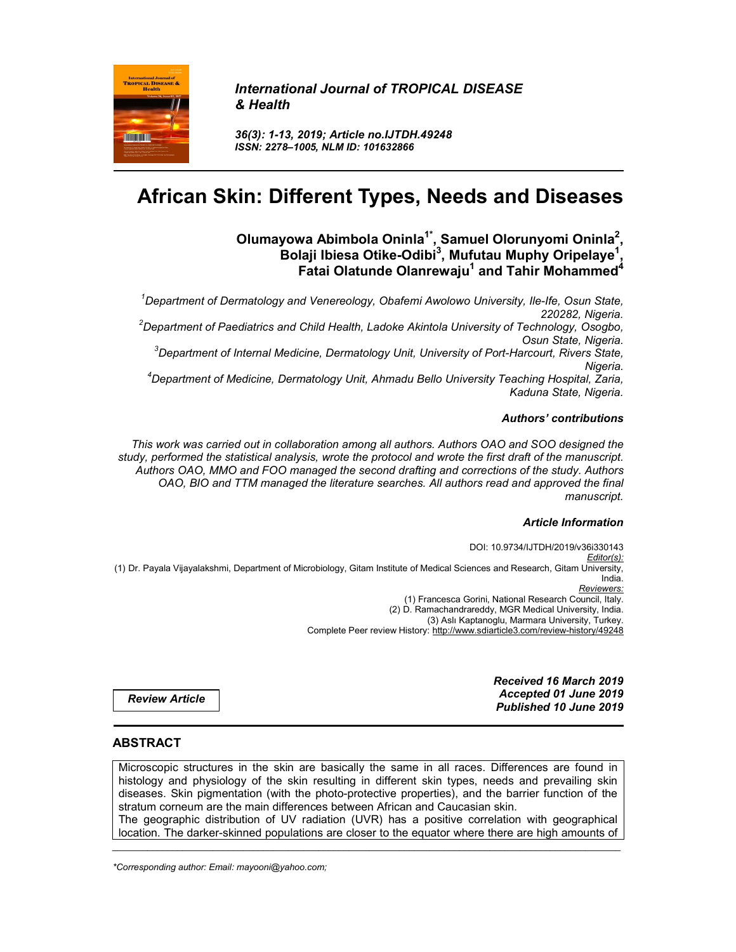

*International Journal of TROPICAL DISEASE & Health*

*36(3): 1-13, 2019; Article no.IJTDH.49248 ISSN: 2278–1005, NLM ID: 101632866*

# **African Skin: Different Types, Needs and Diseases**

#### **Olumayowa Abimbola Oninla1\*, Samuel Olorunyomi Oninla2 , Bolaji Ibiesa Otike-Odibi<sup>3</sup> , Mufutau Muphy Oripelaye1 , Fatai Olatunde Olanrewaju<sup>1</sup> and Tahir Mohammed<sup>4</sup>**

*<sup>1</sup> Department of Dermatology and Venereology, Obafemi Awolowo University, Ile-Ife, Osun State, 220282, Nigeria. <sup>2</sup> Department of Paediatrics and Child Health, Ladoke Akintola University of Technology, Osogbo, Osun State, Nigeria. 3 Department of Internal Medicine, Dermatology Unit, University of Port-Harcourt, Rivers State, Nigeria. 4 Department of Medicine, Dermatology Unit, Ahmadu Bello University Teaching Hospital, Zaria, Kaduna State, Nigeria.*

### *Authors' contributions*

*This work was carried out in collaboration among all authors. Authors OAO and SOO designed the study, performed the statistical analysis, wrote the protocol and wrote the first draft of the manuscript. Authors OAO, MMO and FOO managed the second drafting and corrections of the study. Authors OAO, BIO and TTM managed the literature searches. All authors read and approved the final manuscript.*

## *Article Information*

DOI: 10.9734/IJTDH/2019/v36i330143 *Editor(s):* (1) Dr. Payala Vijayalakshmi, Department of Microbiology, Gitam Institute of Medical Sciences and Research, Gitam University, India. *Reviewers:* (1) Francesca Gorini, National Research Council, Italy. (2) D. Ramachandrareddy, MGR Medical University, India. (3) Aslı Kaptanoglu, Marmara University, Turkey. Complete Peer review History: http://www.sdiarticle3.com/review-history/49248

> *Received 16 March 2019 Accepted 01 June 2019 Published 10 June 2019*

*Review Article*

## **ABSTRACT**

Microscopic structures in the skin are basically the same in all races. Differences are found in histology and physiology of the skin resulting in different skin types, needs and prevailing skin diseases. Skin pigmentation (with the photo-protective properties), and the barrier function of the stratum corneum are the main differences between African and Caucasian skin. The geographic distribution of UV radiation (UVR) has a positive correlation with geographical location. The darker-skinned populations are closer to the equator where there are high amounts of

*\_\_\_\_\_\_\_\_\_\_\_\_\_\_\_\_\_\_\_\_\_\_\_\_\_\_\_\_\_\_\_\_\_\_\_\_\_\_\_\_\_\_\_\_\_\_\_\_\_\_\_\_\_\_\_\_\_\_\_\_\_\_\_\_\_\_\_\_\_\_\_\_\_\_\_\_\_\_\_\_\_\_\_\_\_\_\_\_\_\_\_\_\_\_\_\_\_\_\_\_\_*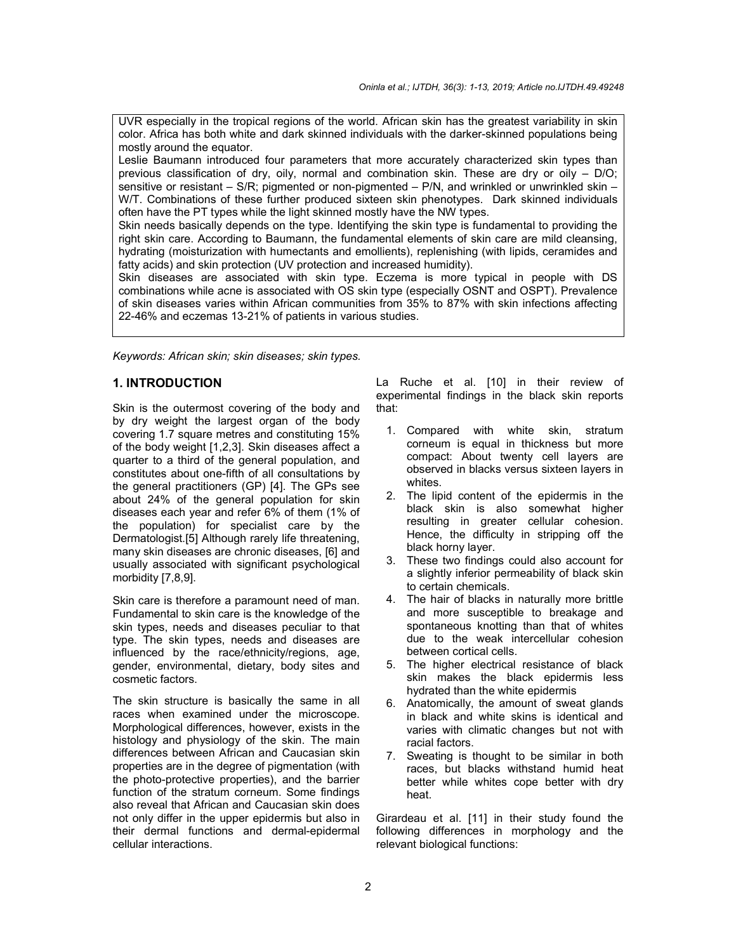UVR especially in the tropical regions of the world. African skin has the greatest variability in skin color. Africa has both white and dark skinned individuals with the darker-skinned populations being mostly around the equator.

Leslie Baumann introduced four parameters that more accurately characterized skin types than previous classification of dry, oily, normal and combination skin. These are dry or oily – D/O; sensitive or resistant – S/R; pigmented or non-pigmented – P/N, and wrinkled or unwrinkled skin – W/T. Combinations of these further produced sixteen skin phenotypes. Dark skinned individuals often have the PT types while the light skinned mostly have the NW types.

Skin needs basically depends on the type. Identifying the skin type is fundamental to providing the right skin care. According to Baumann, the fundamental elements of skin care are mild cleansing, hydrating (moisturization with humectants and emollients), replenishing (with lipids, ceramides and fatty acids) and skin protection (UV protection and increased humidity).

Skin diseases are associated with skin type. Eczema is more typical in people with DS combinations while acne is associated with OS skin type (especially OSNT and OSPT). Prevalence of skin diseases varies within African communities from 35% to 87% with skin infections affecting 22-46% and eczemas 13-21% of patients in various studies.

*Keywords: African skin; skin diseases; skin types.*

## **1. INTRODUCTION**

Skin is the outermost covering of the body and by dry weight the largest organ of the body covering 1.7 square metres and constituting 15% of the body weight [1,2,3]. Skin diseases affect a quarter to a third of the general population, and constitutes about one-fifth of all consultations by the general practitioners (GP) [4]. The GPs see about 24% of the general population for skin diseases each year and refer 6% of them (1% of the population) for specialist care by the Dermatologist.[5] Although rarely life threatening, many skin diseases are chronic diseases, [6] and usually associated with significant psychological morbidity [7,8,9].

Skin care is therefore a paramount need of man. Fundamental to skin care is the knowledge of the skin types, needs and diseases peculiar to that type. The skin types, needs and diseases are influenced by the race/ethnicity/regions, age, gender, environmental, dietary, body sites and cosmetic factors.

The skin structure is basically the same in all races when examined under the microscope. Morphological differences, however, exists in the histology and physiology of the skin. The main differences between African and Caucasian skin properties are in the degree of pigmentation (with the photo-protective properties), and the barrier function of the stratum corneum. Some findings also reveal that African and Caucasian skin does not only differ in the upper epidermis but also in their dermal functions and dermal-epidermal cellular interactions.

La Ruche et al. [10] in their review of experimental findings in the black skin reports that:

- 1. Compared with white skin, stratum corneum is equal in thickness but more compact: About twenty cell layers are observed in blacks versus sixteen layers in whites.
- 2. The lipid content of the epidermis in the black skin is also somewhat higher resulting in greater cellular cohesion. Hence, the difficulty in stripping off the black horny layer.
- 3. These two findings could also account for a slightly inferior permeability of black skin to certain chemicals.
- 4. The hair of blacks in naturally more brittle and more susceptible to breakage and spontaneous knotting than that of whites due to the weak intercellular cohesion between cortical cells.
- 5. The higher electrical resistance of black skin makes the black epidermis less hydrated than the white epidermis
- 6. Anatomically, the amount of sweat glands in black and white skins is identical and varies with climatic changes but not with racial factors.
- 7. Sweating is thought to be similar in both races, but blacks withstand humid heat better while whites cope better with dry heat.

Girardeau et al. [11] in their study found the following differences in morphology and the relevant biological functions: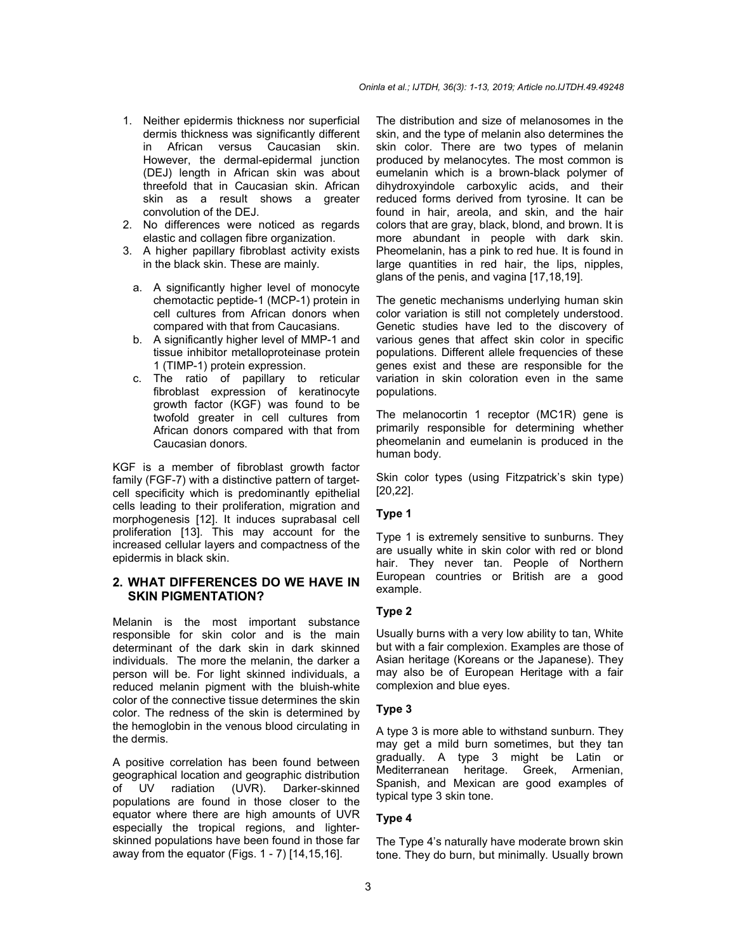- 1. Neither epidermis thickness nor superficial dermis thickness was significantly different in African versus Caucasian skin. However, the dermal-epidermal junction (DEJ) length in African skin was about threefold that in Caucasian skin. African skin as a result shows a greater convolution of the DEJ.
- 2. No differences were noticed as regards elastic and collagen fibre organization.
- 3. A higher papillary fibroblast activity exists in the black skin. These are mainly.
	- a. A significantly higher level of monocyte chemotactic peptide-1 (MCP-1) protein in cell cultures from African donors when compared with that from Caucasians.
	- b. A significantly higher level of MMP-1 and tissue inhibitor metalloproteinase protein 1 (TIMP-1) protein expression.
	- c. The ratio of papillary to reticular fibroblast expression of keratinocyte growth factor (KGF) was found to be twofold greater in cell cultures from African donors compared with that from Caucasian donors.

KGF is a member of fibroblast growth factor family (FGF-7) with a distinctive pattern of targetcell specificity which is predominantly epithelial cells leading to their proliferation, migration and morphogenesis [12]. It induces suprabasal cell proliferation [13]. This may account for the increased cellular layers and compactness of the epidermis in black skin.

## **2. WHAT DIFFERENCES DO WE HAVE IN SKIN PIGMENTATION?**

Melanin is the most important substance responsible for skin color and is the main determinant of the dark skin in dark skinned individuals. The more the melanin, the darker a person will be. For light skinned individuals, a reduced melanin pigment with the bluish-white color of the connective tissue determines the skin color. The redness of the skin is determined by the hemoglobin in the venous blood circulating in the dermis.

A positive correlation has been found between geographical location and geographic distribution of UV radiation (UVR). Darker-skinned populations are found in those closer to the equator where there are high amounts of UVR especially the tropical regions, and lighterskinned populations have been found in those far away from the equator (Figs.  $1 - 7$ ) [14,15,16].

The distribution and size of melanosomes in the skin, and the type of melanin also determines the skin color. There are two types of melanin produced by melanocytes. The most common is eumelanin which is a brown-black polymer of dihydroxyindole carboxylic acids, and their reduced forms derived from tyrosine. It can be found in hair, areola, and skin, and the hair colors that are gray, black, blond, and brown. It is more abundant in people with dark skin. Pheomelanin, has a pink to red hue. It is found in large quantities in red hair, the lips, nipples, glans of the penis, and vagina [17,18,19].

The genetic mechanisms underlying human skin color variation is still not completely understood. Genetic studies have led to the discovery of various genes that affect skin color in specific populations. Different allele frequencies of these genes exist and these are responsible for the variation in skin coloration even in the same populations.

The melanocortin 1 receptor (MC1R) gene is primarily responsible for determining whether pheomelanin and eumelanin is produced in the human body.

Skin color types (using Fitzpatrick's skin type) [20,22].

#### **Type 1**

Type 1 is extremely sensitive to sunburns. They are usually white in skin color with red or blond hair. They never tan. People of Northern European countries or British are a good example.

#### **Type 2**

Usually burns with a very low ability to tan, White but with a fair complexion. Examples are those of Asian heritage (Koreans or the Japanese). They may also be of European Heritage with a fair complexion and blue eyes.

#### **Type 3**

A type 3 is more able to withstand sunburn. They may get a mild burn sometimes, but they tan gradually. A type 3 might be Latin or Mediterranean heritage. Greek, Armenian, Spanish, and Mexican are good examples of typical type 3 skin tone.

#### **Type 4**

The Type 4's naturally have moderate brown skin tone. They do burn, but minimally. Usually brown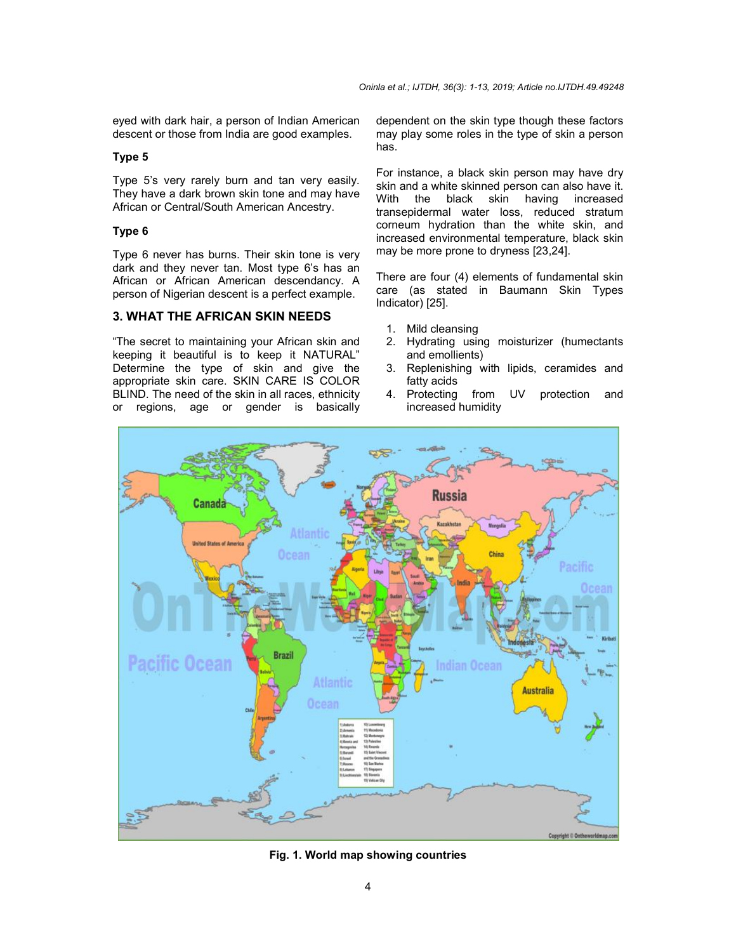eyed with dark hair, a person of Indian American descent or those from India are good examples.

#### **Type 5**

Type 5's very rarely burn and tan very easily. They have a dark brown skin tone and may have African or Central/South American Ancestry.

#### **Type 6**

Type 6 never has burns. Their skin tone is very dark and they never tan. Most type 6's has an African or African American descendancy. A person of Nigerian descent is a perfect example.

### **3. WHAT THE AFRICAN SKIN NEEDS**

"The secret to maintaining your African skin and keeping it beautiful is to keep it NATURAL" Determine the type of skin and give the appropriate skin care. SKIN CARE IS COLOR BLIND. The need of the skin in all races, ethnicity or regions, age or gender is basically dependent on the skin type though these factors may play some roles in the type of skin a person has.

For instance, a black skin person may have dry skin and a white skinned person can also have it. With the black skin having increased transepidermal water loss, reduced stratum corneum hydration than the white skin, and increased environmental temperature, black skin may be more prone to dryness [23,24].

There are four (4) elements of fundamental skin care (as stated in Baumann Skin Types Indicator) [25].

- 1. Mild cleansing
- 2. Hydrating using moisturizer (humectants and emollients)
- 3. Replenishing with lipids, ceramides and fatty acids
- 4. Protecting from UV protection and increased humidity



**Fig. 1. World map showing countries**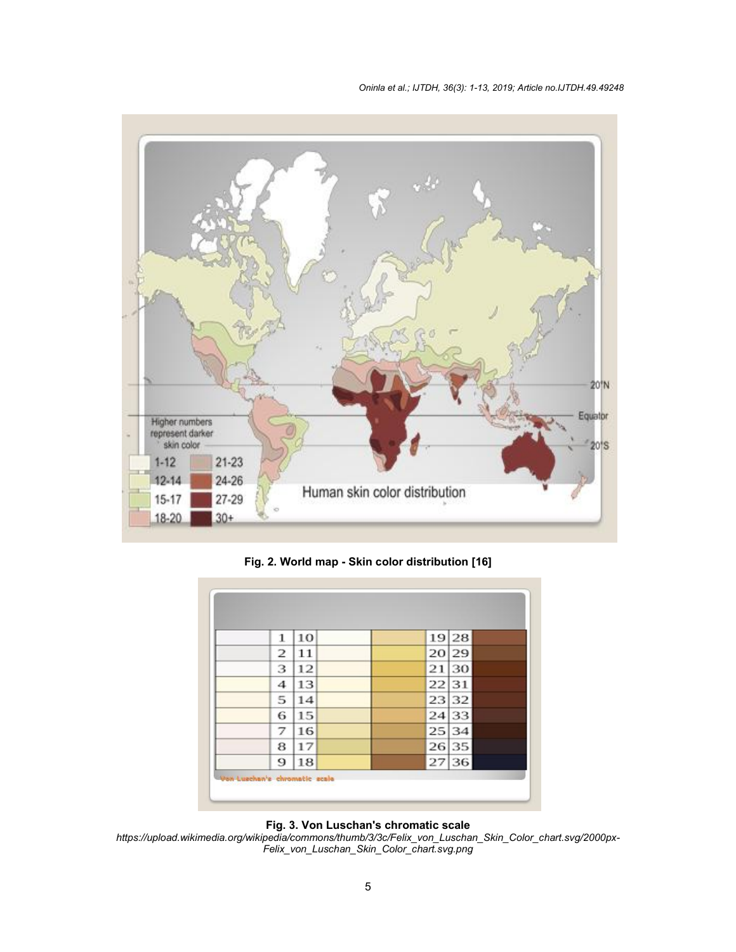*Oninla et al.; IJTDH, 36(3): 1-13, 2019; Article no.IJTDH ; no.IJTDH.49.49248*



**Fig. 2. Worl World map - Skin color distribution [16]**

| 1 | 10 | 19 28 |  |
|---|----|-------|--|
| 2 | 11 | 20 29 |  |
| 3 | 12 | 21 30 |  |
| 4 | 13 | 22 31 |  |
| 5 | 14 | 23 32 |  |
| 6 | 15 | 24 33 |  |
| 7 | 16 | 25 34 |  |
| 8 | 17 | 26 35 |  |
| 9 | 18 | 27 36 |  |

**Fig. 3. 3. Von Luschan's chromatic scale**

*https://upload.wikimedia.org/wikipedia/commons/thumb/3/3c/Felix\_von\_Luschan\_Skin\_Color\_chart.svg/ Felix\_von\_Luschan\_Skin\_Color\_chart.svg.png https://upload.wikimedia.org/wikipedia/commons/thumb/3/3c/Felix\_von\_Luschan\_Skin\_Color\_chart.svg/2000px-*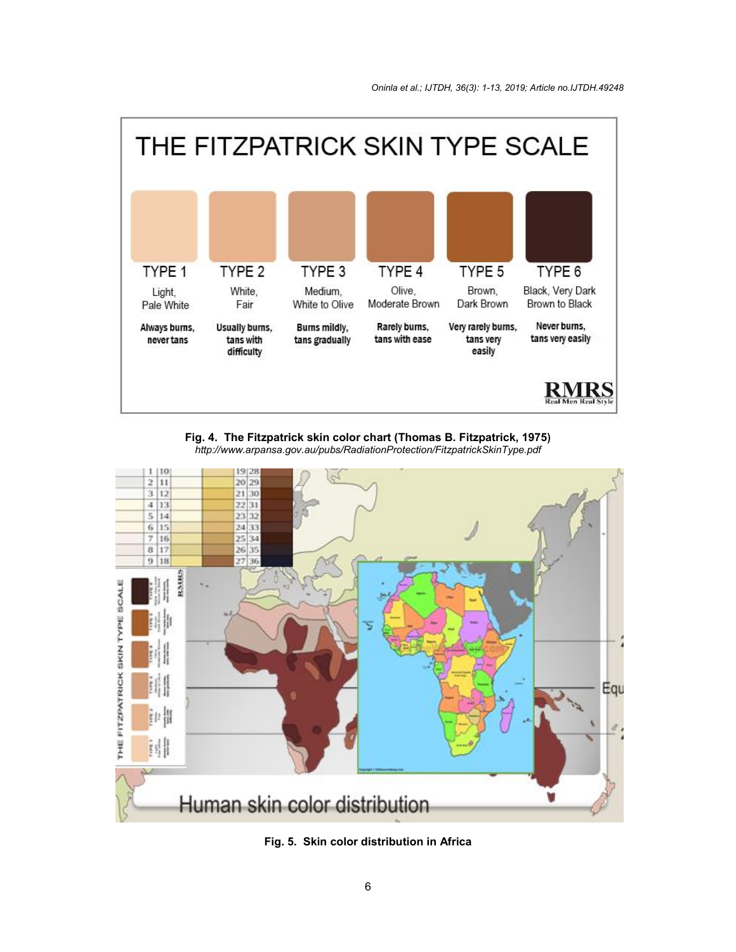

**Fig. 4. The Fitzpatrick skin color chart (Thomas B. Fitzpatrick, 1975) t** *http://www.arpansa.gov.au/pubs/RadiationProtection/FitzpatrickSkinType.pdf*



**Fig. 5 5. Skin color distribution in Africa**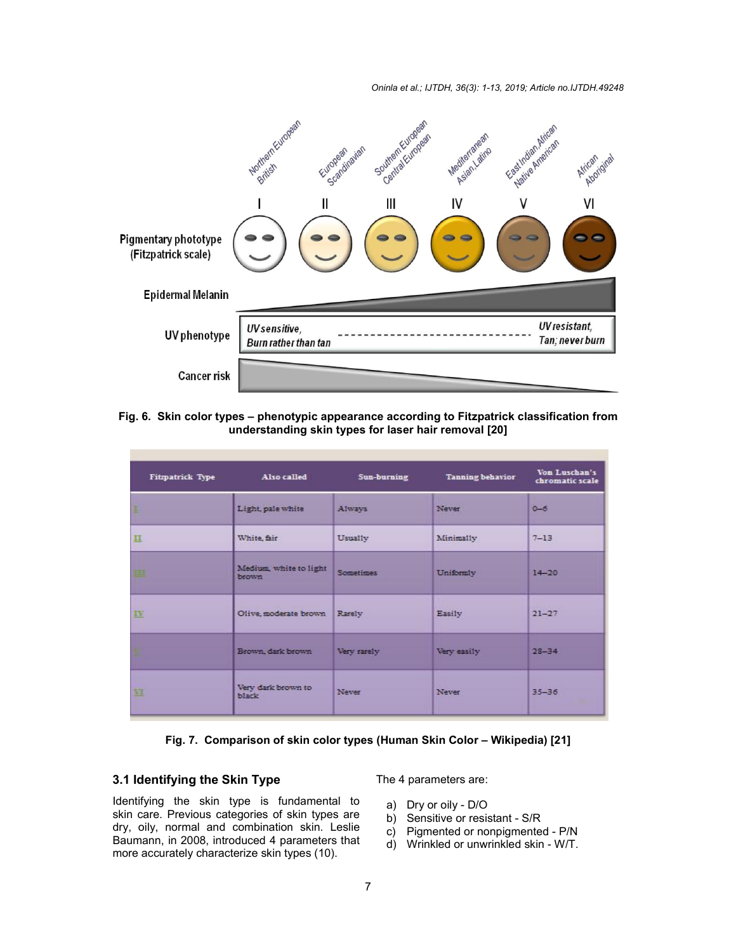*Oninla et al.; IJTDH, 36(3): 1-13, 2019; Article no.IJTDH ; no.IJTDH.49248*



#### **Fig. 6. Skin color types – phenotypic appearance according to Fitzpatrick classification from understanding skin types for laser hair removal [20]**

| Fitzpatrick Type                   | Also called                      | Sun-burning  | <b>Tanning behavior</b> | Von Luschan's<br>chromatic scale |  |
|------------------------------------|----------------------------------|--------------|-------------------------|----------------------------------|--|
| ı                                  | Light, pale white                | Always       | Never                   | $0 - 6$                          |  |
| 旦                                  | White, fair                      | Usually      | Minimally               | $7 - 13$                         |  |
| 皿                                  | Medium, white to light<br>brown. | Sometimes    | Uniformly               | $14 - 20$                        |  |
| $\underline{\mathbf{I}}\mathbf{V}$ | Olive, moderate brown Rarely     |              | Easily                  | $21 - 27$                        |  |
|                                    | Brown, dark brown                | Very rarely  | Very easily             | $28 - 34$                        |  |
| 逛                                  | Very dark brown to<br>black      | <b>Never</b> | <b>Never</b>            | $35 - 36$                        |  |

### **Fig. 7. Comparison of skin color types (Human Skin Color skin color – Wikipedia) [21]**

## **3.1 Identifying the Skin Type**

Identifying the skin type is fundamental to skin care. Previous categories of skin types are dry, oily, normal and combination skin. Leslie Baumann, in 2008, introduced 4 parameters that more accurately characterize skin types (10). **ifying the Skin Type** The 4 parameters are:<br>
the skin type is fundamental to a) Dry or oily - D/O<br>
Previous categories of skin types are by Sensitive or resinormal and combination skin. Leslie c) Pigmented or no<br>
in 2008

- a) Dry or oily D/O
- b) Sensitive or resistant S/R
- c) Pigmented or nonpigmented P/N
- d) Wrinkled or unwrinkled skin W/T.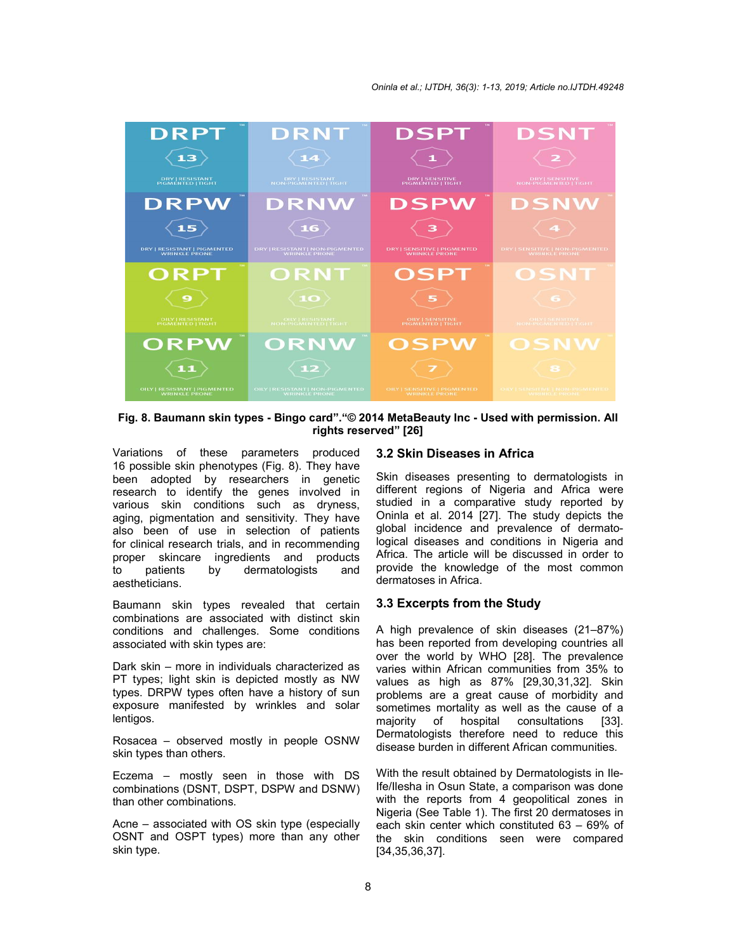

**Fig. 8. Baumann skin types - Bingo card"."© 2014 MetaBeauty Inc - Used with permission. All rights reserved" [26]**

Variations of these parameters produced 16 possible skin phenotypes (Fig. 8). They have been adopted by researchers in genetic research to identify the genes involved in various skin conditions such as dryness, aging, pigmentation and sensitivity. They have also been of use in selection of patients for clinical research trials, and in recommending proper skincare ingredients and products to patients by dermatologists and aestheticians.

Baumann skin types revealed that certain combinations are associated with distinct skin conditions and challenges. Some conditions associated with skin types are:

Dark skin – more in individuals characterized as PT types; light skin is depicted mostly as NW types. DRPW types often have a history of sun exposure manifested by wrinkles and solar lentigos.

Rosacea – observed mostly in people OSNW skin types than others.

Eczema – mostly seen in those with DS combinations (DSNT, DSPT, DSPW and DSNW) than other combinations.

Acne – associated with OS skin type (especially OSNT and OSPT types) more than any other skin type.

#### **3.2 Skin Diseases in Africa**

Skin diseases presenting to dermatologists in different regions of Nigeria and Africa were studied in a comparative study reported by Oninla et al. 2014 [27]. The study depicts the global incidence and prevalence of dermatological diseases and conditions in Nigeria and Africa. The article will be discussed in order to provide the knowledge of the most common dermatoses in Africa.

#### **3.3 Excerpts from the Study**

A high prevalence of skin diseases (21–87%) has been reported from developing countries all over the world by WHO [28]. The prevalence varies within African communities from 35% to values as high as 87% [29,30,31,32]. Skin problems are a great cause of morbidity and sometimes mortality as well as the cause of a majority of hospital consultations [33]. Dermatologists therefore need to reduce this disease burden in different African communities.

With the result obtained by Dermatologists in Ile-Ife/Ilesha in Osun State, a comparison was done with the reports from 4 geopolitical zones in Nigeria (See Table 1). The first 20 dermatoses in each skin center which constituted 63 – 69% of the skin conditions seen were compared [34,35,36,37].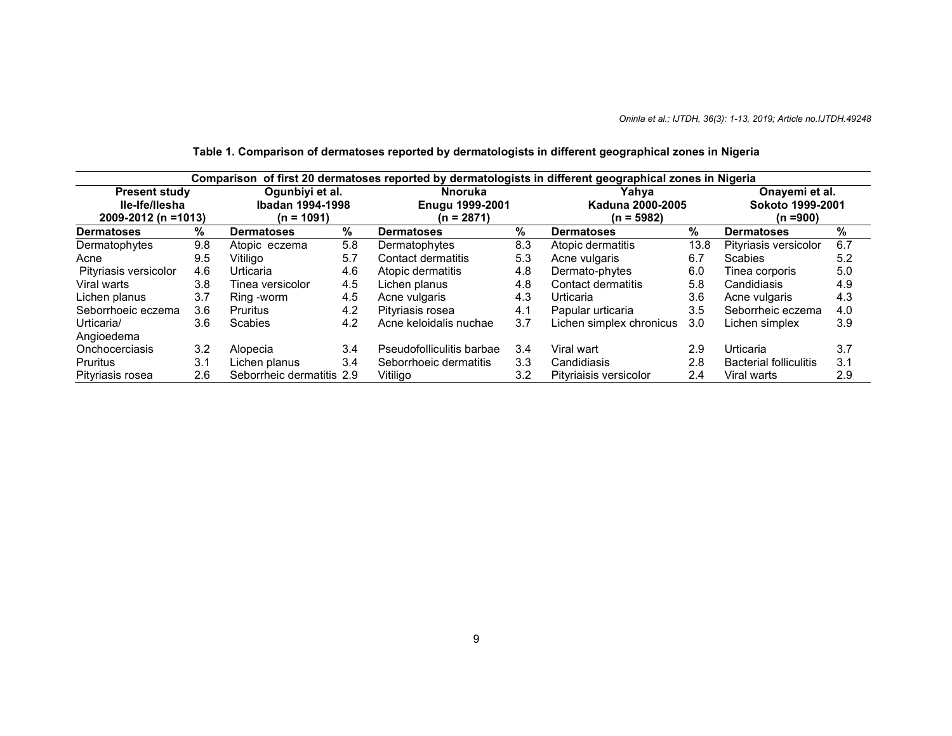| Comparison of first 20 dermatoses reported by dermatologists in different geographical zones in Nigeria |     |                           |     |                           |              |                          |      |                               |     |
|---------------------------------------------------------------------------------------------------------|-----|---------------------------|-----|---------------------------|--------------|--------------------------|------|-------------------------------|-----|
| Ogunbiyi et al.<br><b>Present study</b><br>lle-Ife/llesha<br>2009-2012 (n =1013)<br>$(n = 1091)$        |     | <b>Nnoruka</b>            |     | Yahva                     |              | Onayemi et al.           |      |                               |     |
|                                                                                                         |     | Ibadan 1994-1998          |     | <b>Enugu 1999-2001</b>    |              | Kaduna 2000-2005         |      | Sokoto 1999-2001              |     |
|                                                                                                         |     | $(n = 2871)$              |     |                           | $(n = 5982)$ | $(n = 900)$              |      |                               |     |
| <b>Dermatoses</b>                                                                                       | %   | <b>Dermatoses</b>         | %   | <b>Dermatoses</b>         | %            | <b>Dermatoses</b>        | %    | <b>Dermatoses</b>             | %   |
| Dermatophytes                                                                                           | 9.8 | Atopic eczema             | 5.8 | Dermatophytes             | 8.3          | Atopic dermatitis        | 13.8 | Pityriasis versicolor         | 6.7 |
| Acne                                                                                                    | 9.5 | Vitiligo                  | 5.7 | Contact dermatitis        | 5.3          | Acne vulgaris            | 6.7  | Scabies                       | 5.2 |
| Pityriasis versicolor                                                                                   | 4.6 | Urticaria                 | 4.6 | Atopic dermatitis         | 4.8          | Dermato-phytes           | 6.0  | Tinea corporis                | 5.0 |
| Viral warts                                                                                             | 3.8 | Tinea versicolor          | 4.5 | Lichen planus             | 4.8          | Contact dermatitis       | 5.8  | Candidiasis                   | 4.9 |
| Lichen planus                                                                                           | 3.7 | Ring -worm                | 4.5 | Acne vulgaris             | 4.3          | Urticaria                | 3.6  | Acne vulgaris                 | 4.3 |
| Seborrhoeic eczema                                                                                      | 3.6 | Pruritus                  | 4.2 | Pityriasis rosea          | 4.1          | Papular urticaria        | 3.5  | Seborrheic eczema             | 4.0 |
| Urticaria/                                                                                              | 3.6 | <b>Scabies</b>            | 4.2 | Acne keloidalis nuchae    | 3.7          | Lichen simplex chronicus | 3.0  | Lichen simplex                | 3.9 |
| Angioedema                                                                                              |     |                           |     |                           |              |                          |      |                               |     |
| Onchocerciasis                                                                                          | 3.2 | Alopecia                  | 3.4 | Pseudofolliculitis barbae | 3.4          | Viral wart               | 2.9  | Urticaria                     | 3.7 |
| Pruritus                                                                                                | 3.1 | Lichen planus             | 3.4 | Seborrhoeic dermatitis    | 3.3          | Candidiasis              | 2.8  | <b>Bacterial folliculitis</b> | 3.1 |
| Pityriasis rosea                                                                                        | 2.6 | Seborrheic dermatitis 2.9 |     | Vitiligo                  | 3.2          | Pityriaisis versicolor   | 2.4  | Viral warts                   | 2.9 |

# **Table 1. Comparison of dermatoses reported by dermatologists in different geographical zones in Nigeria**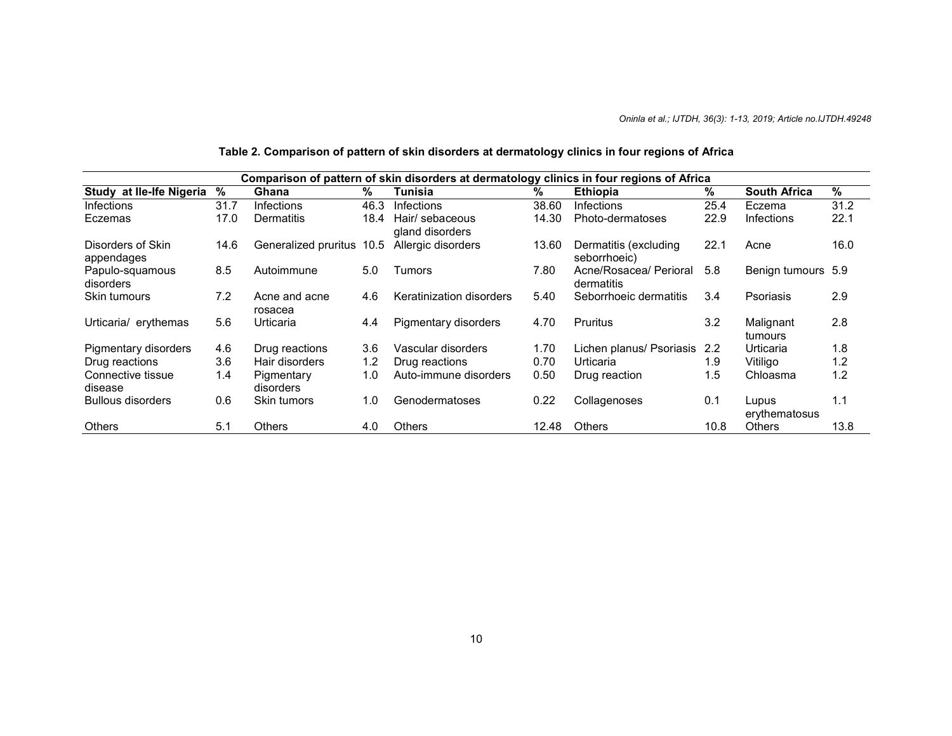# **Table 2. Comparison of pattern of skin disorders at dermatology clinics in four regions of Africa**

| Comparison of pattern of skin disorders at dermatology clinics in four regions of Africa |      |                          |      |                                    |       |                                       |      |                        |      |
|------------------------------------------------------------------------------------------|------|--------------------------|------|------------------------------------|-------|---------------------------------------|------|------------------------|------|
| Study at Ile-Ife Nigeria                                                                 | %    | Ghana                    | %    | Tunisia                            | %     | Ethiopia                              | %    | <b>South Africa</b>    | %    |
| Infections                                                                               | 31.7 | Infections               | 46.3 | Infections                         | 38.60 | Infections                            | 25.4 | Eczema                 | 31.2 |
| Eczemas                                                                                  | 17.0 | Dermatitis               | 18.4 | Hair/ sebaceous<br>gland disorders | 14.30 | Photo-dermatoses                      | 22.9 | <b>Infections</b>      | 22.1 |
| Disorders of Skin<br>appendages                                                          | 14.6 | Generalized pruritus     | 10.5 | Allergic disorders                 | 13.60 | Dermatitis (excluding<br>seborrhoeic) | 22.1 | Acne                   | 16.0 |
| Papulo-squamous<br>disorders                                                             | 8.5  | Autoimmune               | 5.0  | <b>Tumors</b>                      | 7.80  | Acne/Rosacea/ Perioral<br>dermatitis  | 5.8  | Benign tumours 5.9     |      |
| Skin tumours                                                                             | 7.2  | Acne and acne<br>rosacea | 4.6  | Keratinization disorders           | 5.40  | Seborrhoeic dermatitis                | 3.4  | Psoriasis              | 2.9  |
| Urticaria/ erythemas                                                                     | 5.6  | Urticaria                | 4.4  | Pigmentary disorders               | 4.70  | Pruritus                              | 3.2  | Malignant<br>tumours   | 2.8  |
| Pigmentary disorders                                                                     | 4.6  | Drug reactions           | 3.6  | Vascular disorders                 | 1.70  | Lichen planus/ Psoriasis              | 2.2  | Urticaria              | 1.8  |
| Drug reactions                                                                           | 3.6  | Hair disorders           | 1.2  | Drug reactions                     | 0.70  | Urticaria                             | 1.9  | Vitiligo               | 1.2  |
| Connective tissue<br>disease                                                             | 1.4  | Pigmentary<br>disorders  | 1.0  | Auto-immune disorders              | 0.50  | Drug reaction                         | 1.5  | Chloasma               | 1.2  |
| <b>Bullous disorders</b>                                                                 | 0.6  | Skin tumors              | 1.0  | Genodermatoses                     | 0.22  | Collagenoses                          | 0.1  | Lupus<br>erythematosus | 1.1  |
| Others                                                                                   | 5.1  | <b>Others</b>            | 4.0  | <b>Others</b>                      | 12.48 | <b>Others</b>                         | 10.8 | <b>Others</b>          | 13.8 |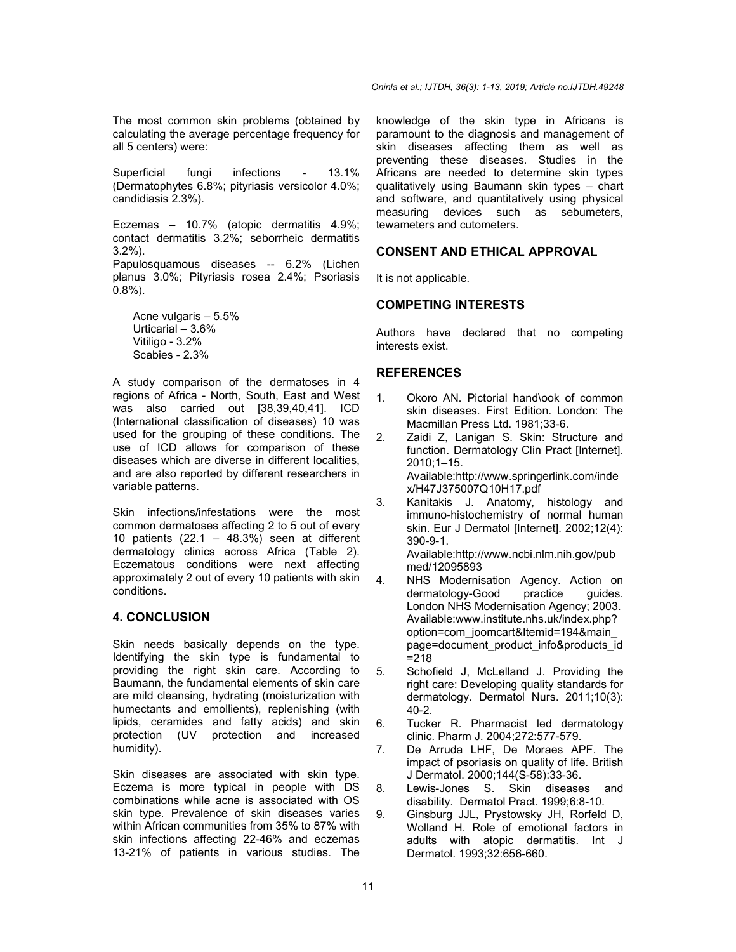The most common skin problems (obtained by calculating the average percentage frequency for all 5 centers) were:

Superficial fungi infections - 13.1% (Dermatophytes 6.8%; pityriasis versicolor 4.0%; candidiasis 2.3%).

Eczemas – 10.7% (atopic dermatitis 4.9%; contact dermatitis 3.2%; seborrheic dermatitis 3.2%).

Papulosquamous diseases -- 6.2% (Lichen planus 3.0%; Pityriasis rosea 2.4%; Psoriasis 0.8%).

Acne vulgaris – 5.5% Urticarial – 3.6% Vitiligo - 3.2% Scabies - 2.3%

A study comparison of the dermatoses in 4 regions of Africa - North, South, East and West was also carried out [38,39,40,41]. ICD (International classification of diseases) 10 was used for the grouping of these conditions. The use of ICD allows for comparison of these diseases which are diverse in different localities, and are also reported by different researchers in variable patterns.

Skin infections/infestations were the most common dermatoses affecting 2 to 5 out of every 10 patients  $(22.1 - 48.3%)$  seen at different dermatology clinics across Africa (Table 2). Eczematous conditions were next affecting approximately 2 out of every 10 patients with skin conditions.

### **4. CONCLUSION**

Skin needs basically depends on the type. Identifying the skin type is fundamental to providing the right skin care. According to Baumann, the fundamental elements of skin care are mild cleansing, hydrating (moisturization with humectants and emollients), replenishing (with lipids, ceramides and fatty acids) and skin protection (UV protection and increased humidity).

Skin diseases are associated with skin type. Eczema is more typical in people with DS combinations while acne is associated with OS skin type. Prevalence of skin diseases varies within African communities from 35% to 87% with skin infections affecting 22-46% and eczemas 13-21% of patients in various studies. The

knowledge of the skin type in Africans is paramount to the diagnosis and management of skin diseases affecting them as well as preventing these diseases. Studies in the Africans are needed to determine skin types qualitatively using Baumann skin types – chart and software, and quantitatively using physical measuring devices such as sebumeters, tewameters and cutometers.

## **CONSENT AND ETHICAL APPROVAL**

It is not applicable.

### **COMPETING INTERESTS**

Authors have declared that no competing interests exist.

### **REFERENCES**

- 1. Okoro AN. Pictorial hand\ook of common skin diseases. First Edition. London: The Macmillan Press Ltd. 1981;33-6.
- 2. Zaidi Z, Lanigan S. Skin: Structure and function. Dermatology Clin Pract [Internet]. 2010;1–15. Available:http://www.springerlink.com/inde x/H47J375007Q10H17.pdf
- 3. Kanitakis J. Anatomy, histology and immuno-histochemistry of normal human skin. Eur J Dermatol [Internet]. 2002;12(4): 390-9-1.

Available:http://www.ncbi.nlm.nih.gov/pub med/12095893

- 4. NHS Modernisation Agency. Action on dermatology-Good practice quides. London NHS Modernisation Agency; 2003. Available:www.institute.nhs.uk/index.php? option=com\_joomcart&Itemid=194&main\_ page=document\_product\_info&products\_id =218
- 5. Schofield J, McLelland J. Providing the right care: Developing quality standards for dermatology. Dermatol Nurs. 2011;10(3): 40-2.
- 6. Tucker R. Pharmacist led dermatology clinic. Pharm J. 2004;272:577-579.
- 7. De Arruda LHF, De Moraes APF. The impact of psoriasis on quality of life. British J Dermatol. 2000;144(S-58):33-36.
- 8. Lewis-Jones S. Skin diseases and disability. Dermatol Pract. 1999;6:8-10.
- 9. Ginsburg JJL, Prystowsky JH, Rorfeld D, Wolland H. Role of emotional factors in adults with atopic dermatitis. Int J Dermatol. 1993;32:656-660.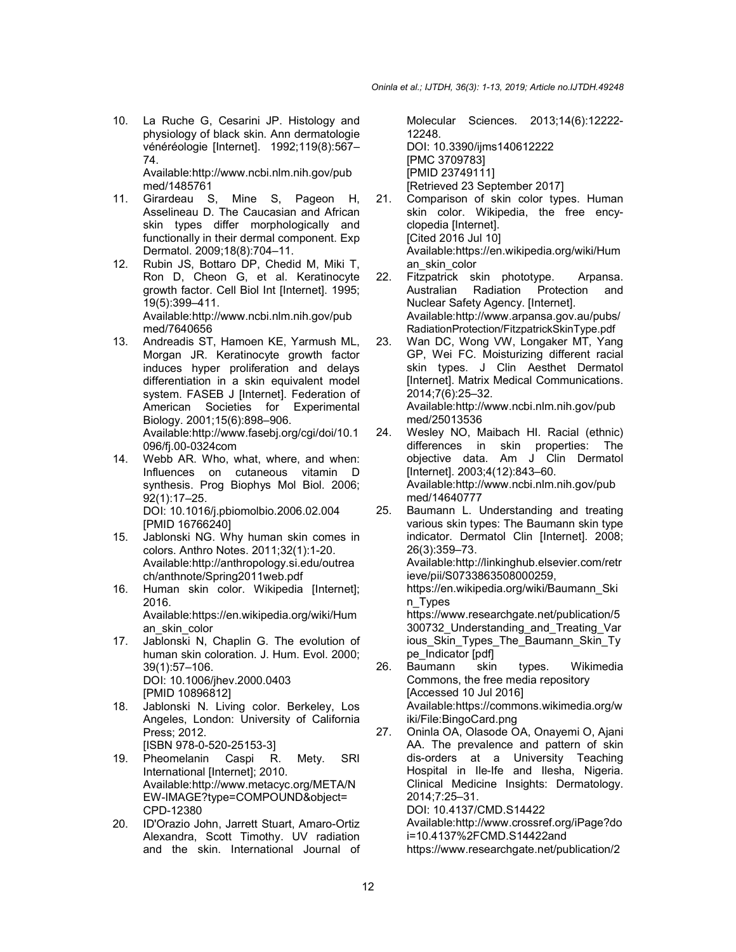10. La Ruche G, Cesarini JP. Histology and physiology of black skin. Ann dermatologie vénéréologie [Internet]. 1992;119(8):567– 74.

Available:http://www.ncbi.nlm.nih.gov/pub med/1485761

- 11. Girardeau S, Mine S, Pageon H, Asselineau D. The Caucasian and African skin types differ morphologically and functionally in their dermal component. Exp Dermatol. 2009;18(8):704–11.
- 12. Rubin JS, Bottaro DP, Chedid M, Miki T, Ron D, Cheon G, et al. Keratinocyte growth factor. Cell Biol Int [Internet]. 1995; 19(5):399–411. Available:http://www.ncbi.nlm.nih.gov/pub med/7640656
- 13. Andreadis ST, Hamoen KE, Yarmush ML, Morgan JR. Keratinocyte growth factor induces hyper proliferation and delays differentiation in a skin equivalent model system. FASEB J [Internet]. Federation of American Societies for Experimental Biology. 2001;15(6):898–906. Available:http://www.fasebj.org/cgi/doi/10.1 096/fj.00-0324com
- 14. Webb AR. Who, what, where, and when: Influences on cutaneous vitamin D synthesis. Prog Biophys Mol Biol. 2006; 92(1):17–25. DOI: 10.1016/j.pbiomolbio.2006.02.004 [PMID 16766240]
- 15. Jablonski NG. Why human skin comes in colors. Anthro Notes. 2011;32(1):1-20. Available:http://anthropology.si.edu/outrea ch/anthnote/Spring2011web.pdf
- 16. Human skin color. Wikipedia [Internet]; 2016. Available:https://en.wikipedia.org/wiki/Hum an\_skin\_color
- 17. Jablonski N, Chaplin G. The evolution of human skin coloration. J. Hum. Evol. 2000; 39(1):57–106. DOI: 10.1006/jhev.2000.0403 [PMID 10896812]
- 18. Jablonski N. Living color. Berkeley, Los Angeles, London: University of California Press; 2012. [ISBN 978-0-520-25153-3]
- 19. Pheomelanin Caspi R. Mety. SRI International [Internet]; 2010. Available:http://www.metacyc.org/META/N EW-IMAGE?type=COMPOUND&object= CPD-12380
- 20. ID'Orazio John, Jarrett Stuart, Amaro-Ortiz Alexandra, Scott Timothy. UV radiation and the skin. International Journal of

Molecular Sciences. 2013;14(6):12222- 12248. DOI: 10.3390/ijms140612222 [PMC 3709783] [PMID 23749111] [Retrieved 23 September 2017]

- 21. Comparison of skin color types. Human skin color. Wikipedia, the free encyclopedia [Internet]. [Cited 2016 Jul 10] Available:https://en.wikipedia.org/wiki/Hum an\_skin\_color
- 22. Fitzpatrick skin phototype. Arpansa. Australian Radiation Protection and Nuclear Safety Agency. [Internet]. Available:http://www.arpansa.gov.au/pubs/ RadiationProtection/FitzpatrickSkinType.pdf
- 23. Wan DC, Wong VW, Longaker MT, Yang GP, Wei FC. Moisturizing different racial skin types. J Clin Aesthet Dermatol [Internet]. Matrix Medical Communications. 2014;7(6):25–32. Available:http://www.ncbi.nlm.nih.gov/pub med/25013536
- 24. Wesley NO, Maibach HI. Racial (ethnic) differences in skin properties: The objective data. Am J Clin Dermatol [Internet]. 2003;4(12):843–60. Available:http://www.ncbi.nlm.nih.gov/pub med/14640777
- 25. Baumann L. Understanding and treating various skin types: The Baumann skin type indicator. Dermatol Clin [Internet]. 2008; 26(3):359–73. Available:http://linkinghub.elsevier.com/retr ieve/pii/S0733863508000259, https://en.wikipedia.org/wiki/Baumann\_Ski n\_Types https://www.researchgate.net/publication/5 300732\_Understanding\_and\_Treating\_Var ious\_Skin\_Types\_The\_Baumann\_Skin\_Ty pe\_Indicator [pdf]<br>Baumann skin 26. Baumann skin types. Wikimedia Commons, the free media repository
	- [Accessed 10 Jul 2016] Available:https://commons.wikimedia.org/w iki/File:BingoCard.png
- 27. Oninla OA, Olasode OA, Onayemi O, Ajani AA. The prevalence and pattern of skin dis-orders at a University Teaching Hospital in Ile-Ife and Ilesha, Nigeria. Clinical Medicine Insights: Dermatology. 2014;7:25–31. DOI: 10.4137/CMD.S14422 Available:http://www.crossref.org/iPage?do i=10.4137%2FCMD.S14422and

https://www.researchgate.net/publication/2